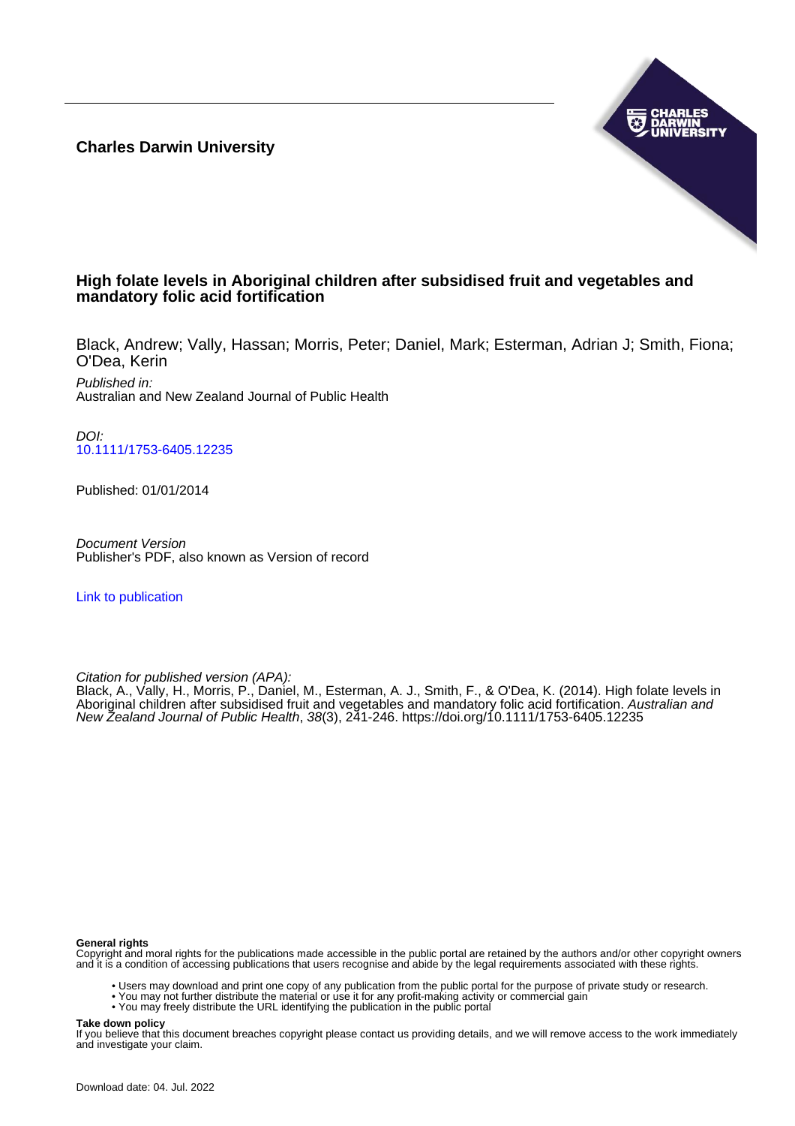**Charles Darwin University**



# **High folate levels in Aboriginal children after subsidised fruit and vegetables and mandatory folic acid fortification**

Black, Andrew; Vally, Hassan; Morris, Peter; Daniel, Mark; Esterman, Adrian J; Smith, Fiona; O'Dea, Kerin

Published in: Australian and New Zealand Journal of Public Health

DOI: [10.1111/1753-6405.12235](https://doi.org/10.1111/1753-6405.12235)

Published: 01/01/2014

Document Version Publisher's PDF, also known as Version of record

[Link to publication](https://researchers.cdu.edu.au/en/publications/801da7bf-6259-4444-b6fc-cb289a06f4cc)

Citation for published version (APA):

Black, A., Vally, H., Morris, P., Daniel, M., Esterman, A. J., Smith, F., & O'Dea, K. (2014). High folate levels in Aboriginal children after subsidised fruit and vegetables and mandatory folic acid fortification. Australian and New Zealand Journal of Public Health, 38(3), 241-246. <https://doi.org/10.1111/1753-6405.12235>

#### **General rights**

Copyright and moral rights for the publications made accessible in the public portal are retained by the authors and/or other copyright owners and it is a condition of accessing publications that users recognise and abide by the legal requirements associated with these rights.

- Users may download and print one copy of any publication from the public portal for the purpose of private study or research.
- You may not further distribute the material or use it for any profit-making activity or commercial gain
- You may freely distribute the URL identifying the publication in the public portal

#### **Take down policy**

If you believe that this document breaches copyright please contact us providing details, and we will remove access to the work immediately and investigate your claim.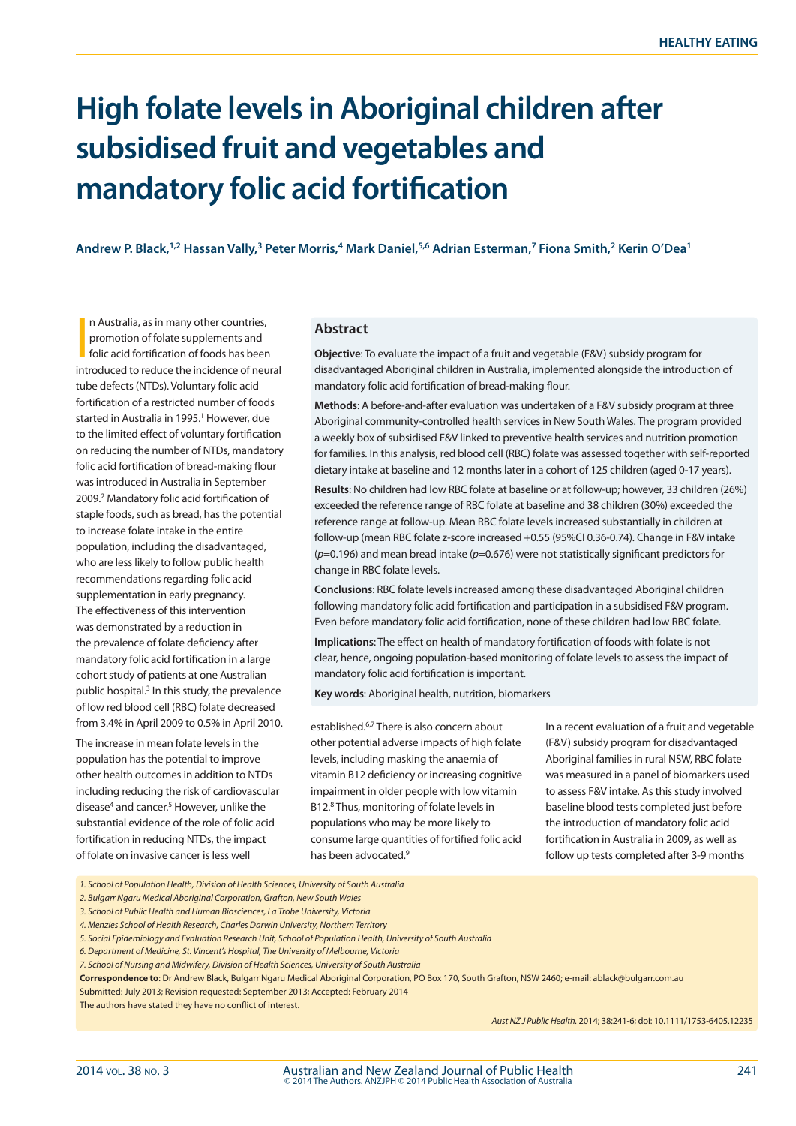# **High folate levels in Aboriginal children after subsidised fruit and vegetables and mandatory folic acid fortification**

**Andrew P. Black,1,2 Hassan Vally,3 Peter Morris,4 Mark Daniel,5,6 Adrian Esterman,7 Fiona Smith,2 Kerin O'Dea1** 

In Australia, as in many other countries,<br>promotion of folate supplements and<br>folic acid fortification of foods has been<br>introduced to reduce the incidence of neural n Australia, as in many other countries, promotion of folate supplements and folic acid fortification of foods has been tube defects (NTDs). Voluntary folic acid fortification of a restricted number of foods started in Australia in 1995.<sup>1</sup> However, due to the limited effect of voluntary fortification on reducing the number of NTDs, mandatory folic acid fortification of bread-making flour was introduced in Australia in September 2009.2 Mandatory folic acid fortification of staple foods, such as bread, has the potential to increase folate intake in the entire population, including the disadvantaged, who are less likely to follow public health recommendations regarding folic acid supplementation in early pregnancy. The effectiveness of this intervention was demonstrated by a reduction in the prevalence of folate deficiency after mandatory folic acid fortification in a large cohort study of patients at one Australian public hospital.<sup>3</sup> In this study, the prevalence of low red blood cell (RBC) folate decreased from 3.4% in April 2009 to 0.5% in April 2010.

The increase in mean folate levels in the population has the potential to improve other health outcomes in addition to NTDs including reducing the risk of cardiovascular disease<sup>4</sup> and cancer.<sup>5</sup> However, unlike the substantial evidence of the role of folic acid fortification in reducing NTDs, the impact of folate on invasive cancer is less well

#### **Abstract**

**Objective**: To evaluate the impact of a fruit and vegetable (F&V) subsidy program for disadvantaged Aboriginal children in Australia, implemented alongside the introduction of mandatory folic acid fortification of bread-making flour.

**Methods**: A before-and-after evaluation was undertaken of a F&V subsidy program at three Aboriginal community-controlled health services in New South Wales. The program provided a weekly box of subsidised F&V linked to preventive health services and nutrition promotion for families. In this analysis, red blood cell (RBC) folate was assessed together with self-reported dietary intake at baseline and 12 months later in a cohort of 125 children (aged 0-17 years).

**Results**: No children had low RBC folate at baseline or at follow-up; however, 33 children (26%) exceeded the reference range of RBC folate at baseline and 38 children (30%) exceeded the reference range at follow-up. Mean RBC folate levels increased substantially in children at follow-up (mean RBC folate z-score increased +0.55 (95%CI 0.36-0.74). Change in F&V intake (*p*=0.196) and mean bread intake (*p*=0.676) were not statistically significant predictors for change in RBC folate levels.

**Conclusions**: RBC folate levels increased among these disadvantaged Aboriginal children following mandatory folic acid fortification and participation in a subsidised F&V program. Even before mandatory folic acid fortification, none of these children had low RBC folate.

**Implications**: The effect on health of mandatory fortification of foods with folate is not clear, hence, ongoing population-based monitoring of folate levels to assess the impact of mandatory folic acid fortification is important.

**Key words**: Aboriginal health, nutrition, biomarkers

established.6,7 There is also concern about other potential adverse impacts of high folate levels, including masking the anaemia of vitamin B12 deficiency or increasing cognitive impairment in older people with low vitamin B12.8 Thus, monitoring of folate levels in populations who may be more likely to consume large quantities of fortified folic acid has been advocated.<sup>9</sup>

In a recent evaluation of a fruit and vegetable (F&V) subsidy program for disadvantaged Aboriginal families in rural NSW, RBC folate was measured in a panel of biomarkers used to assess F&V intake. As this study involved baseline blood tests completed just before the introduction of mandatory folic acid fortification in Australia in 2009, as well as follow up tests completed after 3-9 months

*1. School of Population Health, Division of Health Sciences, University of South Australia*

*2. Bulgarr Ngaru Medical Aboriginal Corporation, Grafton, New South Wales*

*3. School of Public Health and Human Biosciences, La Trobe University, Victoria*

*4. Menzies School of Health Research, Charles Darwin University, Northern Territory*

*5. Social Epidemiology and Evaluation Research Unit, School of Population Health, University of South Australia*

*6. Department of Medicine, St. Vincent's Hospital, The University of Melbourne, Victoria*

*7. School of Nursing and Midwifery, Division of Health Sciences, University of South Australia*

**Correspondence to**: Dr Andrew Black, Bulgarr Ngaru Medical Aboriginal Corporation, PO Box 170, South Grafton, NSW 2460; e-mail: ablack@bulgarr.com.au

Submitted: July 2013; Revision requested: September 2013; Accepted: February 2014

The authors have stated they have no conflict of interest.

*Aust NZ J Public Health.* 2014; 38:241-6; doi: 10.1111/1753-6405.12235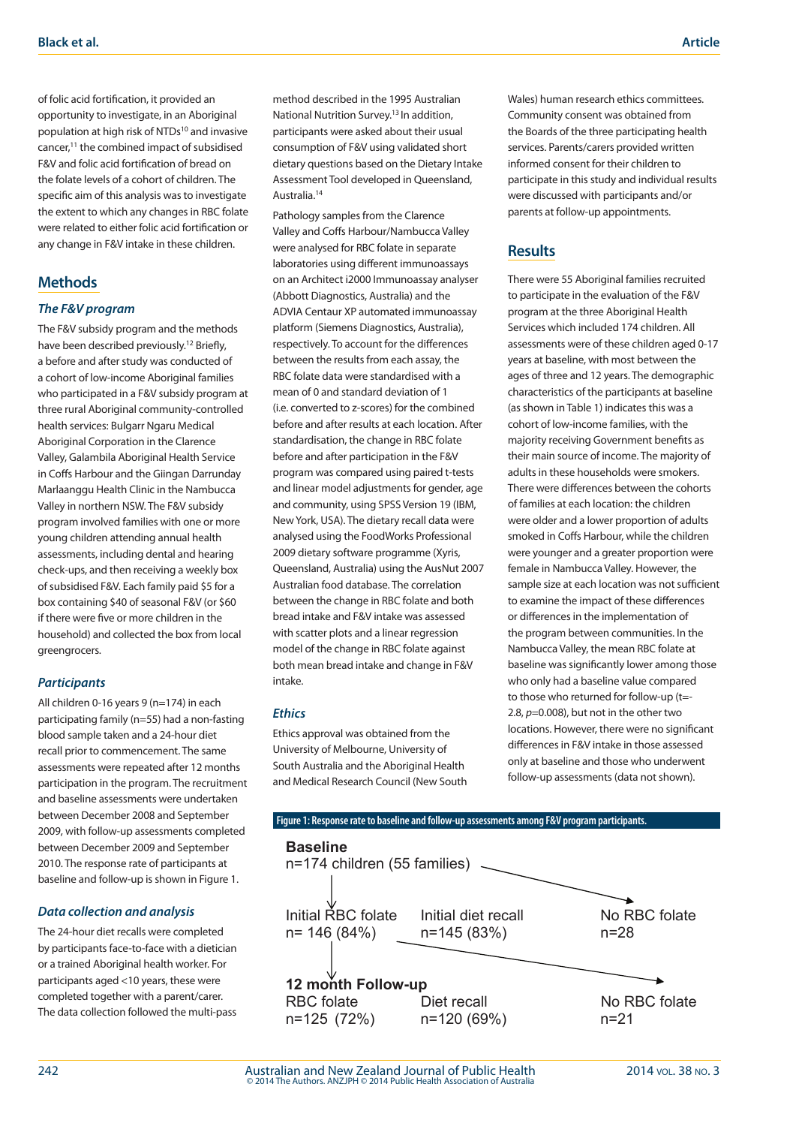of folic acid fortification, it provided an opportunity to investigate, in an Aboriginal population at high risk of NTDs<sup>10</sup> and invasive cancer,11 the combined impact of subsidised F&V and folic acid fortification of bread on the folate levels of a cohort of children. The specific aim of this analysis was to investigate the extent to which any changes in RBC folate were related to either folic acid fortification or any change in F&V intake in these children.

## **Methods**

#### *The F&V program*

The F&V subsidy program and the methods have been described previously.<sup>12</sup> Briefly, a before and after study was conducted of a cohort of low-income Aboriginal families who participated in a F&V subsidy program at three rural Aboriginal community-controlled health services: Bulgarr Ngaru Medical Aboriginal Corporation in the Clarence Valley, Galambila Aboriginal Health Service in Coffs Harbour and the Giingan Darrunday Marlaanggu Health Clinic in the Nambucca Valley in northern NSW. The F&V subsidy program involved families with one or more young children attending annual health assessments, including dental and hearing check-ups, and then receiving a weekly box of subsidised F&V. Each family paid \$5 for a box containing \$40 of seasonal F&V (or \$60 if there were five or more children in the household) and collected the box from local greengrocers.

## *Participants*

All children 0-16 years 9 (n=174) in each participating family (n=55) had a non-fasting blood sample taken and a 24-hour diet recall prior to commencement. The same assessments were repeated after 12 months participation in the program. The recruitment and baseline assessments were undertaken between December 2008 and September 2009, with follow-up assessments completed between December 2009 and September 2010. The response rate of participants at baseline and follow-up is shown in Figure 1.

## *Data collection and analysis*

The 24-hour diet recalls were completed by participants face-to-face with a dietician or a trained Aboriginal health worker. For participants aged <10 years, these were completed together with a parent/carer. The data collection followed the multi-pass

method described in the 1995 Australian National Nutrition Survey.13 In addition, participants were asked about their usual consumption of F&V using validated short dietary questions based on the Dietary Intake Assessment Tool developed in Queensland, Australia.14

Pathology samples from the Clarence Valley and Coffs Harbour/Nambucca Valley were analysed for RBC folate in separate laboratories using different immunoassays on an Architect i2000 Immunoassay analyser (Abbott Diagnostics, Australia) and the ADVIA Centaur XP automated immunoassay platform (Siemens Diagnostics, Australia), respectively. To account for the differences between the results from each assay, the RBC folate data were standardised with a mean of 0 and standard deviation of 1 (i.e. converted to z-scores) for the combined before and after results at each location. After standardisation, the change in RBC folate before and after participation in the F&V program was compared using paired t-tests and linear model adjustments for gender, age and community, using SPSS Version 19 (IBM, New York, USA). The dietary recall data were analysed using the FoodWorks Professional 2009 dietary software programme (Xyris, Queensland, Australia) using the AusNut 2007 Australian food database. The correlation between the change in RBC folate and both bread intake and F&V intake was assessed with scatter plots and a linear regression model of the change in RBC folate against both mean bread intake and change in F&V intake.

#### *Ethics*

Ethics approval was obtained from the University of Melbourne, University of South Australia and the Aboriginal Health and Medical Research Council (New South Wales) human research ethics committees. Community consent was obtained from the Boards of the three participating health services. Parents/carers provided written informed consent for their children to participate in this study and individual results were discussed with participants and/or parents at follow-up appointments.

# **Results**

There were 55 Aboriginal families recruited to participate in the evaluation of the F&V program at the three Aboriginal Health Services which included 174 children. All assessments were of these children aged 0-17 years at baseline, with most between the ages of three and 12 years. The demographic characteristics of the participants at baseline (as shown in Table 1) indicates this was a cohort of low-income families, with the majority receiving Government benefits as their main source of income. The majority of adults in these households were smokers. There were differences between the cohorts of families at each location: the children were older and a lower proportion of adults smoked in Coffs Harbour, while the children were younger and a greater proportion were female in Nambucca Valley. However, the sample size at each location was not sufficient to examine the impact of these differences or differences in the implementation of the program between communities. In the Nambucca Valley, the mean RBC folate at baseline was significantly lower among those who only had a baseline value compared to those who returned for follow-up (t=- 2.8, *p*=0.008), but not in the other two locations. However, there were no significant differences in F&V intake in those assessed only at baseline and those who underwent follow-up assessments (data not shown).

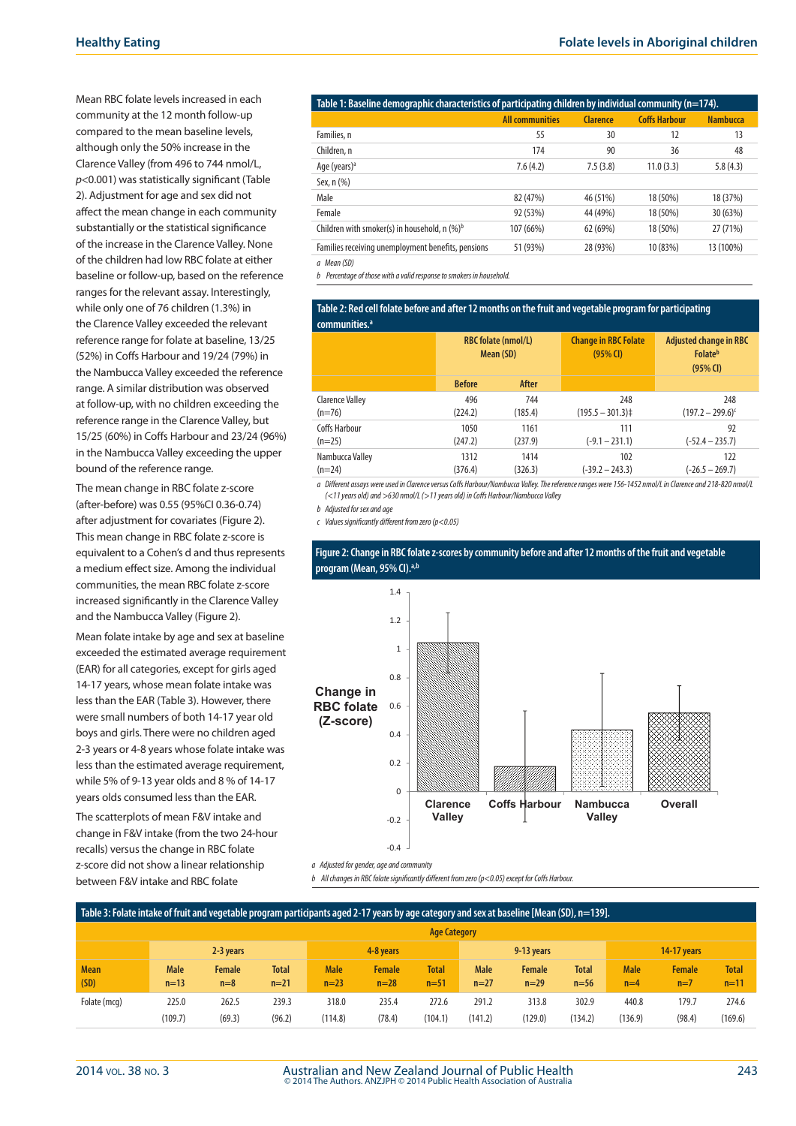Mean RBC folate levels increased in each community at the 12 month follow-up compared to the mean baseline levels, although only the 50% increase in the Clarence Valley (from 496 to 744 nmol/L, *p*<0.001) was statistically significant (Table 2). Adjustment for age and sex did not affect the mean change in each community substantially or the statistical significance of the increase in the Clarence Valley. None of the children had low RBC folate at either baseline or follow-up, based on the reference ranges for the relevant assay. Interestingly, while only one of 76 children (1.3%) in the Clarence Valley exceeded the relevant reference range for folate at baseline, 13/25 (52%) in Coffs Harbour and 19/24 (79%) in the Nambucca Valley exceeded the reference range. A similar distribution was observed at follow-up, with no children exceeding the reference range in the Clarence Valley, but 15/25 (60%) in Coffs Harbour and 23/24 (96%) in the Nambucca Valley exceeding the upper bound of the reference range.

The mean change in RBC folate z-score (after-before) was 0.55 (95%CI 0.36-0.74) after adjustment for covariates (Figure 2). This mean change in RBC folate z-score is equivalent to a Cohen's d and thus represents a medium effect size. Among the individual communities, the mean RBC folate z-score increased significantly in the Clarence Valley and the Nambucca Valley (Figure 2).

Mean folate intake by age and sex at baseline exceeded the estimated average requirement (EAR) for all categories, except for girls aged 14-17 years, whose mean folate intake was less than the EAR (Table 3). However, there were small numbers of both 14-17 year old boys and girls. There were no children aged 2-3 years or 4-8 years whose folate intake was less than the estimated average requirement, while 5% of 9-13 year olds and 8 % of 14-17 years olds consumed less than the EAR.

The scatterplots of mean F&V intake and change in F&V intake (from the two 24-hour recalls) versus the change in RBC folate z-score did not show a linear relationship between F&V intake and RBC folate

| Table 1: Baseline demographic characteristics of participating children by individual community (n=174). |                        |                 |                      |                 |
|----------------------------------------------------------------------------------------------------------|------------------------|-----------------|----------------------|-----------------|
|                                                                                                          | <b>All communities</b> | <b>Clarence</b> | <b>Coffs Harbour</b> | <b>Nambucca</b> |
| Families, n                                                                                              | 55                     | 30              | 12                   | 13              |
| Children, n                                                                                              | 174                    | 90              | 36                   | 48              |
| Age (years) <sup>a</sup>                                                                                 | 7.6(4.2)               | 7.5(3.8)        | 11.0(3.3)            | 5.8(4.3)        |
| Sex, n (%)                                                                                               |                        |                 |                      |                 |
| Male                                                                                                     | 82 (47%)               | 46 (51%)        | 18 (50%)             | 18 (37%)        |
| Female                                                                                                   | 92 (53%)               | 44 (49%)        | 18 (50%)             | 30 (63%)        |
| Children with smoker(s) in household, $n (%)^b$                                                          | 107 (66%)              | 62 (69%)        | 18 (50%)             | 27 (71%)        |
| Families receiving unemployment benefits, pensions                                                       | 51 (93%)               | 28 (93%)        | 10 (83%)             | 13 (100%)       |

*a Mean (SD)*

*b Percentage of those with a valid response to smokers in household.*

#### **Table 2: Red cell folate before and after 12 months on the fruit and vegetable program for participating communities**

|                        | <b>RBC</b> folate (nmol/L)<br>Mean (SD) |         | <b>Change in RBC Folate</b><br>$(95%$ CI) | <b>Adjusted change in RBC</b><br><b>Folate</b> <sup>b</sup><br>$(95%$ CI) |
|------------------------|-----------------------------------------|---------|-------------------------------------------|---------------------------------------------------------------------------|
|                        | <b>Before</b>                           | After   |                                           |                                                                           |
| <b>Clarence Valley</b> | 496                                     | 744     | 248                                       | 248                                                                       |
| $(n=76)$               | (224.2)                                 | (185.4) | $(195.5 - 301.3)$                         | $(197.2 - 299.6)^c$                                                       |
| <b>Coffs Harbour</b>   | 1050                                    | 1161    | 111                                       | 92                                                                        |
| $(n=25)$               | (247.2)                                 | (237.9) | $(-9.1 - 231.1)$                          | $(-52.4 - 235.7)$                                                         |
| Nambucca Valley        | 1312                                    | 1414    | 102                                       | 122                                                                       |
| $(n=24)$               | (376.4)                                 | (326.3) | $(-39.2 - 243.3)$                         | $(-26.5 - 269.7)$                                                         |

*a Different assays were used in Clarence versus Coffs Harbour/Nambucca Valley. The reference ranges were 156-1452 nmol/L in Clarence and 218-820 nmol/L (<11 years old) and >630 nmol/L (>11 years old) in Coffs Harbour/Nambucca Valley*

*b Adjusted for sex and age*

*c Values significantly different from zero (p<0.05)*



#### **Figure 2: Change in RBC folate z-scores by community before and after 12 months of the fruit and vegetable program (Mean, 95% CI).a,b**

*a Adjusted for gender, age and community*

*b All changes in RBC folate significantly different from zero (p<0.05) except for Coffs Harbour.*

#### **Table 3: Folate intake of fruit and vegetable program participants aged 2-17 years by age category and sex at baseline [Mean (SD), n=139]. Age Category 2-3 years 4-8 years 9-13 years 14-17 years Mean (SD) Male n=13 Female n=8 Total n=21 Male n=23 Female n=28 Total n=51 Male n=27 Female n=29 Total n=56 Male n=4 Female n=7 Total n=11** Folate (mcg) 225.0 (109.7) 262.5 (69.3) 239.3 (96.2) 318.0 (114.8) 235.4 (78.4) 272.6 (104.1) 291.2 (141.2) 313.8 (129.0) 302.9 (134.2) 440.8 (136.9) 179.7 (98.4) 274.6 (169.6)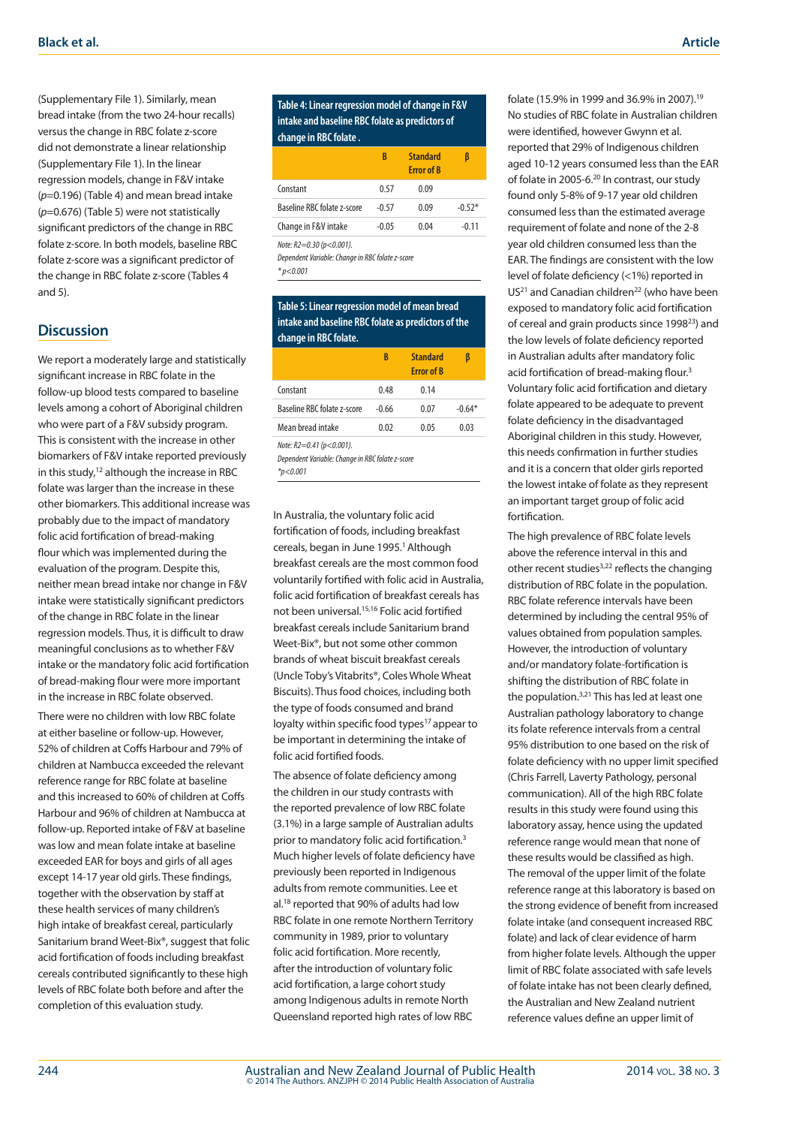(Supplementary File 1). Similarly, mean bread intake (from the two 24-hour recalls) versus the change in RBC folate z-score did not demonstrate a linear relationship (Supplementary File 1). In the linear regression models, change in F&V intake (*p*=0.196) (Table 4) and mean bread intake (*p*=0.676) (Table 5) were not statistically significant predictors of the change in RBC folate z-score. In both models, baseline RBC folate z-score was a significant predictor of the change in RBC folate z-score (Tables 4 and 5).

# **Discussion**

We report a moderately large and statistically significant increase in RBC folate in the follow-up blood tests compared to baseline levels among a cohort of Aboriginal children who were part of a F&V subsidy program. This is consistent with the increase in other biomarkers of F&V intake reported previously in this study, $12$  although the increase in RBC folate was larger than the increase in these other biomarkers. This additional increase was probably due to the impact of mandatory folic acid fortification of bread-making flour which was implemented during the evaluation of the program. Despite this, neither mean bread intake nor change in F&V intake were statistically significant predictors of the change in RBC folate in the linear regression models. Thus, it is difficult to draw meaningful conclusions as to whether F&V intake or the mandatory folic acid fortification of bread-making flour were more important in the increase in RBC folate observed.

There were no children with low RBC folate at either baseline or follow-up. However, 52% of children at Coffs Harbour and 79% of children at Nambucca exceeded the relevant reference range for RBC folate at baseline and this increased to 60% of children at Coffs Harbour and 96% of children at Nambucca at follow-up. Reported intake of F&V at baseline was low and mean folate intake at baseline exceeded EAR for boys and girls of all ages except 14-17 year old girls. These findings, together with the observation by staff at these health services of many children's high intake of breakfast cereal, particularly Sanitarium brand Weet-Bix®, suggest that folic acid fortification of foods including breakfast cereals contributed significantly to these high levels of RBC folate both before and after the completion of this evaluation study.

**Table 4: Linear regression model of change in F&V intake and baseline RBC folate as predictors of change in RBC folate .**

|                                                                              | B       | <b>Standard</b><br><b>Error of B</b> | ß        |
|------------------------------------------------------------------------------|---------|--------------------------------------|----------|
| Constant                                                                     | 0.57    | 0.09                                 |          |
| Baseline RBC folate z-score                                                  | $-0.57$ | 0.09                                 | $-0.52*$ |
| Change in F&V intake                                                         | $-0.05$ | 0.04                                 | $-0.11$  |
| Note: R2=0.30 (p<0.001).<br>Dependent Variable: Change in RBC folate z-score |         |                                      |          |

*\* p<0.001*

#### **Table 5: Linear regression model of mean bread intake and baseline RBC folate as predictors of the change in RBC folate.**

|                                                                                                | B       | <b>Standard</b><br><b>Frror of B</b> | β        |  |  |  |
|------------------------------------------------------------------------------------------------|---------|--------------------------------------|----------|--|--|--|
| Constant                                                                                       | 0.48    | 0.14                                 |          |  |  |  |
| Baseline RBC folate z-score                                                                    | $-0.66$ | 0.07                                 | $-0.64*$ |  |  |  |
| Mean bread intake                                                                              | 0.02    | 0.05                                 | 0.03     |  |  |  |
| Note: $R2=0.41$ ( $p<0.001$ ).<br>Dependent Variable: Change in RBC folate z-score<br>*p<0.001 |         |                                      |          |  |  |  |

In Australia, the voluntary folic acid fortification of foods, including breakfast cereals, began in June 1995.<sup>1</sup> Although breakfast cereals are the most common food voluntarily fortified with folic acid in Australia, folic acid fortification of breakfast cereals has not been universal.15,16 Folic acid fortified breakfast cereals include Sanitarium brand Weet-Bix®, but not some other common brands of wheat biscuit breakfast cereals (Uncle Toby's Vitabrits®, Coles Whole Wheat Biscuits). Thus food choices, including both the type of foods consumed and brand loyalty within specific food types<sup>17</sup> appear to be important in determining the intake of folic acid fortified foods.

The absence of folate deficiency among the children in our study contrasts with the reported prevalence of low RBC folate (3.1%) in a large sample of Australian adults prior to mandatory folic acid fortification.3 Much higher levels of folate deficiency have previously been reported in Indigenous adults from remote communities. Lee et al.18 reported that 90% of adults had low RBC folate in one remote Northern Territory community in 1989, prior to voluntary folic acid fortification. More recently, after the introduction of voluntary folic acid fortification, a large cohort study among Indigenous adults in remote North Queensland reported high rates of low RBC

folate (15.9% in 1999 and 36.9% in 2007).19 No studies of RBC folate in Australian children were identified, however Gwynn et al. reported that 29% of Indigenous children aged 10-12 years consumed less than the EAR of folate in 2005-6.20 In contrast, our study found only 5-8% of 9-17 year old children consumed less than the estimated average requirement of folate and none of the 2-8 year old children consumed less than the EAR. The findings are consistent with the low level of folate deficiency (<1%) reported in US<sup>21</sup> and Canadian children<sup>22</sup> (who have been exposed to mandatory folic acid fortification of cereal and grain products since 199823) and the low levels of folate deficiency reported in Australian adults after mandatory folic acid fortification of bread-making flour.<sup>3</sup> Voluntary folic acid fortification and dietary folate appeared to be adequate to prevent folate deficiency in the disadvantaged Aboriginal children in this study. However, this needs confirmation in further studies and it is a concern that older girls reported the lowest intake of folate as they represent an important target group of folic acid fortification.

The high prevalence of RBC folate levels above the reference interval in this and other recent studies<sup>3,22</sup> reflects the changing distribution of RBC folate in the population. RBC folate reference intervals have been determined by including the central 95% of values obtained from population samples. However, the introduction of voluntary and/or mandatory folate-fortification is shifting the distribution of RBC folate in the population.3,21 This has led at least one Australian pathology laboratory to change its folate reference intervals from a central 95% distribution to one based on the risk of folate deficiency with no upper limit specified (Chris Farrell, Laverty Pathology, personal communication). All of the high RBC folate results in this study were found using this laboratory assay, hence using the updated reference range would mean that none of these results would be classified as high. The removal of the upper limit of the folate reference range at this laboratory is based on the strong evidence of benefit from increased folate intake (and consequent increased RBC folate) and lack of clear evidence of harm from higher folate levels. Although the upper limit of RBC folate associated with safe levels of folate intake has not been clearly defined, the Australian and New Zealand nutrient reference values define an upper limit of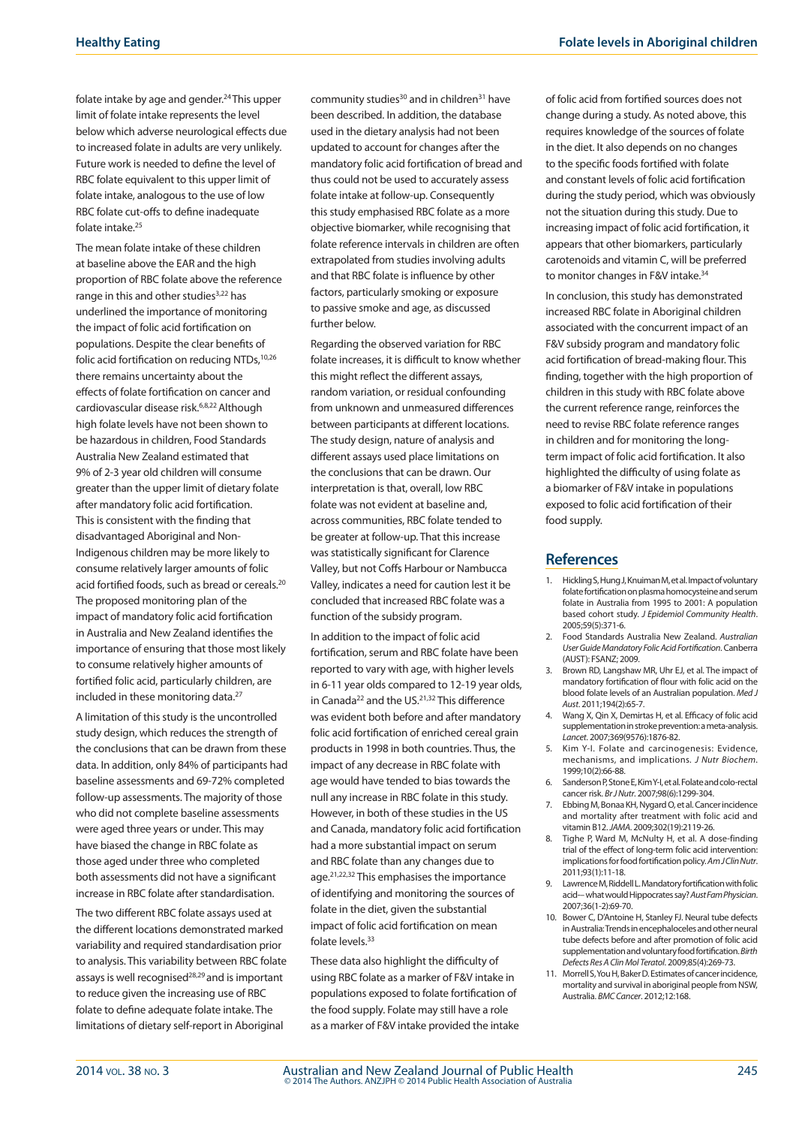folate intake by age and gender.24 This upper limit of folate intake represents the level below which adverse neurological effects due to increased folate in adults are very unlikely. Future work is needed to define the level of RBC folate equivalent to this upper limit of folate intake, analogous to the use of low RBC folate cut-offs to define inadequate folate intake.25

The mean folate intake of these children at baseline above the EAR and the high proportion of RBC folate above the reference range in this and other studies<sup>3,22</sup> has underlined the importance of monitoring the impact of folic acid fortification on populations. Despite the clear benefits of folic acid fortification on reducing NTDs,<sup>10,26</sup> there remains uncertainty about the effects of folate fortification on cancer and cardiovascular disease risk.6,8,22 Although high folate levels have not been shown to be hazardous in children, Food Standards Australia New Zealand estimated that 9% of 2-3 year old children will consume greater than the upper limit of dietary folate after mandatory folic acid fortification. This is consistent with the finding that disadvantaged Aboriginal and Non-Indigenous children may be more likely to consume relatively larger amounts of folic acid fortified foods, such as bread or cereals.20 The proposed monitoring plan of the impact of mandatory folic acid fortification in Australia and New Zealand identifies the importance of ensuring that those most likely to consume relatively higher amounts of fortified folic acid, particularly children, are included in these monitoring data.<sup>27</sup>

A limitation of this study is the uncontrolled study design, which reduces the strength of the conclusions that can be drawn from these data. In addition, only 84% of participants had baseline assessments and 69-72% completed follow-up assessments. The majority of those who did not complete baseline assessments were aged three years or under. This may have biased the change in RBC folate as those aged under three who completed both assessments did not have a significant increase in RBC folate after standardisation.

The two different RBC folate assays used at the different locations demonstrated marked variability and required standardisation prior to analysis. This variability between RBC folate assays is well recognised<sup>28,29</sup> and is important to reduce given the increasing use of RBC folate to define adequate folate intake. The limitations of dietary self-report in Aboriginal

community studies $30$  and in children $31$  have been described. In addition, the database used in the dietary analysis had not been updated to account for changes after the mandatory folic acid fortification of bread and thus could not be used to accurately assess folate intake at follow-up. Consequently this study emphasised RBC folate as a more objective biomarker, while recognising that folate reference intervals in children are often extrapolated from studies involving adults and that RBC folate is influence by other factors, particularly smoking or exposure to passive smoke and age, as discussed further below.

Regarding the observed variation for RBC folate increases, it is difficult to know whether this might reflect the different assays, random variation, or residual confounding from unknown and unmeasured differences between participants at different locations. The study design, nature of analysis and different assays used place limitations on the conclusions that can be drawn. Our interpretation is that, overall, low RBC folate was not evident at baseline and, across communities, RBC folate tended to be greater at follow-up. That this increase was statistically significant for Clarence Valley, but not Coffs Harbour or Nambucca Valley, indicates a need for caution lest it be concluded that increased RBC folate was a function of the subsidy program.

In addition to the impact of folic acid fortification, serum and RBC folate have been reported to vary with age, with higher levels in 6-11 year olds compared to 12-19 year olds, in Canada<sup>22</sup> and the US.<sup>21,32</sup> This difference was evident both before and after mandatory folic acid fortification of enriched cereal grain products in 1998 in both countries. Thus, the impact of any decrease in RBC folate with age would have tended to bias towards the null any increase in RBC folate in this study. However, in both of these studies in the US and Canada, mandatory folic acid fortification had a more substantial impact on serum and RBC folate than any changes due to age.21,22,32 This emphasises the importance of identifying and monitoring the sources of folate in the diet, given the substantial impact of folic acid fortification on mean folate levels.<sup>33</sup>

These data also highlight the difficulty of using RBC folate as a marker of F&V intake in populations exposed to folate fortification of the food supply. Folate may still have a role as a marker of F&V intake provided the intake of folic acid from fortified sources does not change during a study. As noted above, this requires knowledge of the sources of folate in the diet. It also depends on no changes to the specific foods fortified with folate and constant levels of folic acid fortification during the study period, which was obviously not the situation during this study. Due to increasing impact of folic acid fortification, it appears that other biomarkers, particularly carotenoids and vitamin C, will be preferred to monitor changes in F&V intake.<sup>34</sup>

In conclusion, this study has demonstrated increased RBC folate in Aboriginal children associated with the concurrent impact of an F&V subsidy program and mandatory folic acid fortification of bread-making flour. This finding, together with the high proportion of children in this study with RBC folate above the current reference range, reinforces the need to revise RBC folate reference ranges in children and for monitoring the longterm impact of folic acid fortification. It also highlighted the difficulty of using folate as a biomarker of F&V intake in populations exposed to folic acid fortification of their food supply.

#### **References**

- 1. Hickling S, Hung J, Knuiman M, et al. Impact of voluntary folate fortification on plasma homocysteine and serum folate in Australia from 1995 to 2001: A population based cohort study. *J Epidemiol Community Health*. 2005;59(5):371-6.
- 2. Food Standards Australia New Zealand. *Australian User Guide Mandatory Folic Acid Fortification*. Canberra (AUST): FSANZ; 2009.
- 3. Brown RD, Langshaw MR, Uhr EJ, et al. The impact of mandatory fortification of flour with folic acid on the blood folate levels of an Australian population. *Med J Aust*. 2011;194(2):65-7.
- 4. Wang X, Qin X, Demirtas H, et al. Efficacy of folic acid supplementation in stroke prevention: a meta-analysis. *Lancet*. 2007;369(9576):1876-82.
- 5. Kim Y-I. Folate and carcinogenesis: Evidence, mechanisms, and implications. *J Nutr Biochem*. 1999;10(2):66-88.
- 6. Sanderson P, Stone E, Kim Y-I, et al. Folate and colo-rectal cancer risk. *Br J Nutr*. 2007;98(6):1299-304.
- 7. Ebbing M, Bonaa KH, Nygard O, et al. Cancer incidence and mortality after treatment with folic acid and vitamin B12. *JAMA*. 2009;302(19):2119-26.
- 8. Tighe P, Ward M, McNulty H, et al. A dose-finding trial of the effect of long-term folic acid intervention: implications for food fortification policy. *Am J Clin Nutr*. 2011;93(1):11-18.
- 9. Lawrence M, Riddell L. Mandatory fortification with folic acid-– what would Hippocrates say? *Aust Fam Physician*. 2007;36(1-2):69-70.
- 10. Bower C, D'Antoine H, Stanley FJ. Neural tube defects in Australia: Trends in encephaloceles and other neural tube defects before and after promotion of folic acid supplementation and voluntary food fortification. *Birth Defects Res A Clin Mol Teratol*. 2009;85(4):269-73.
- 11. Morrell S, You H, Baker D. Estimates of cancer incidence, mortality and survival in aboriginal people from NSW, Australia. *BMC Cancer*. 2012;12:168.